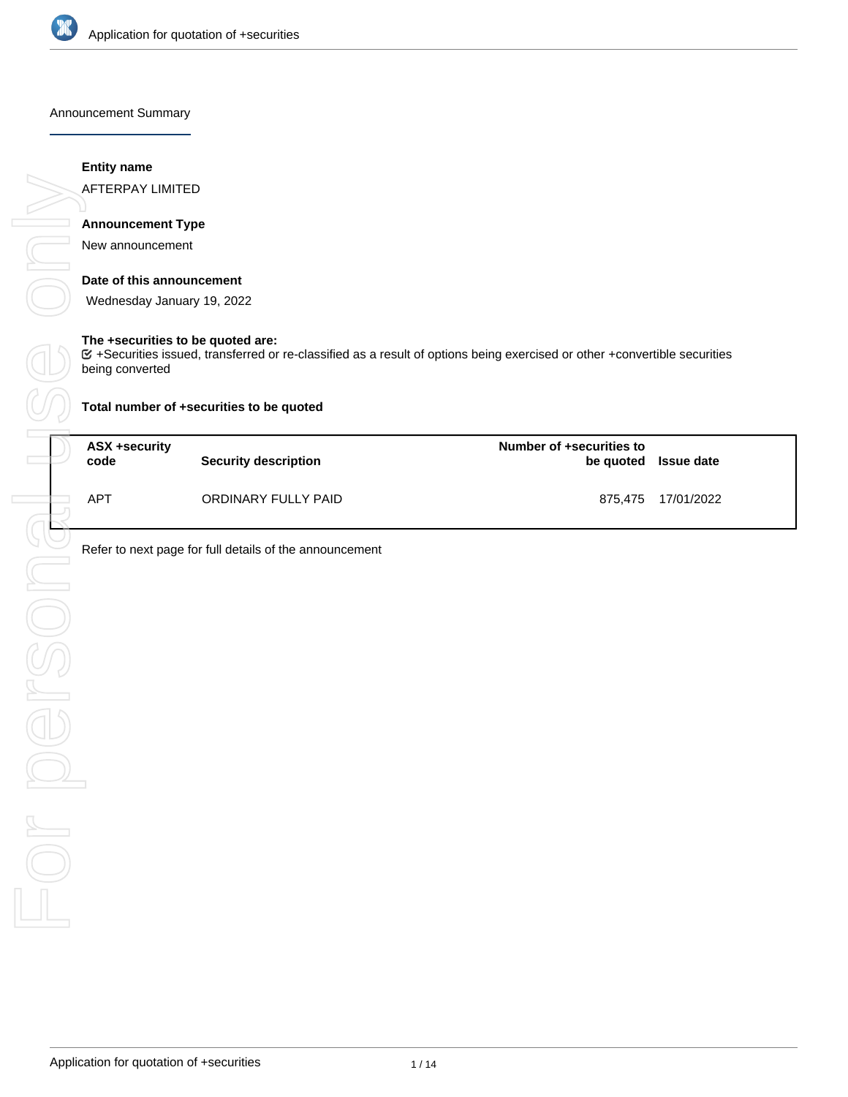

Announcement Summary

#### **Entity name**

AFTERPAY LIMITED

# **Announcement Type**

New announcement

#### **Date of this announcement**

Wednesday January 19, 2022

#### **The +securities to be quoted are:**

+Securities issued, transferred or re-classified as a result of options being exercised or other +convertible securities

**Total number of +securities to be quoted**

| ASX +security<br>code | Security description | Number of +securities to | be quoted Issue date |
|-----------------------|----------------------|--------------------------|----------------------|
| <b>APT</b>            | ORDINARY FULLY PAID  |                          | 875,475 17/01/2022   |

Refer to next page for full details of the announcement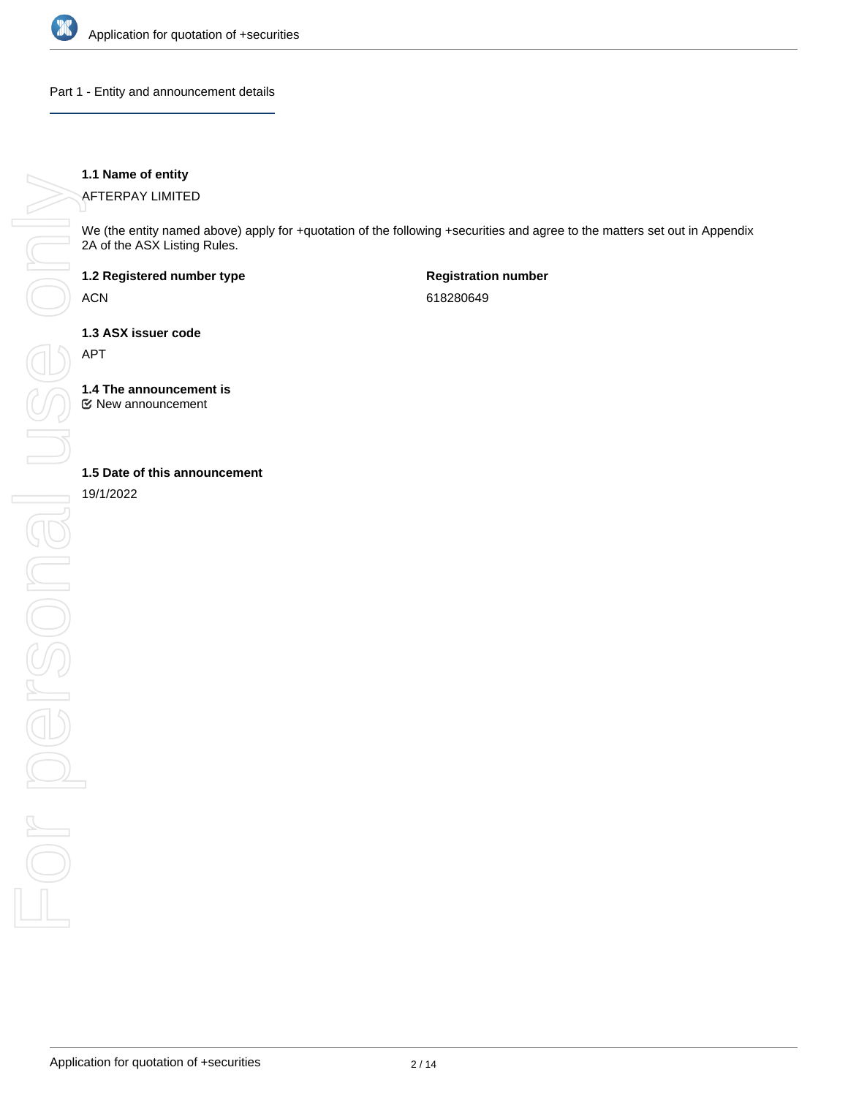

Part 1 - Entity and announcement details

## **1.1 Name of entity**

AFTERPAY LIMITED

We (the entity named above) apply for +quotation of the following +securities and agree to the matters set out in Appendix 2A of the ASX Listing Rules.

**1.2 Registered number type**

ACN

**Registration number** 618280649

**1.3 ASX issuer code**

APT

**1.4 The announcement is**

New announcement

19/1/2022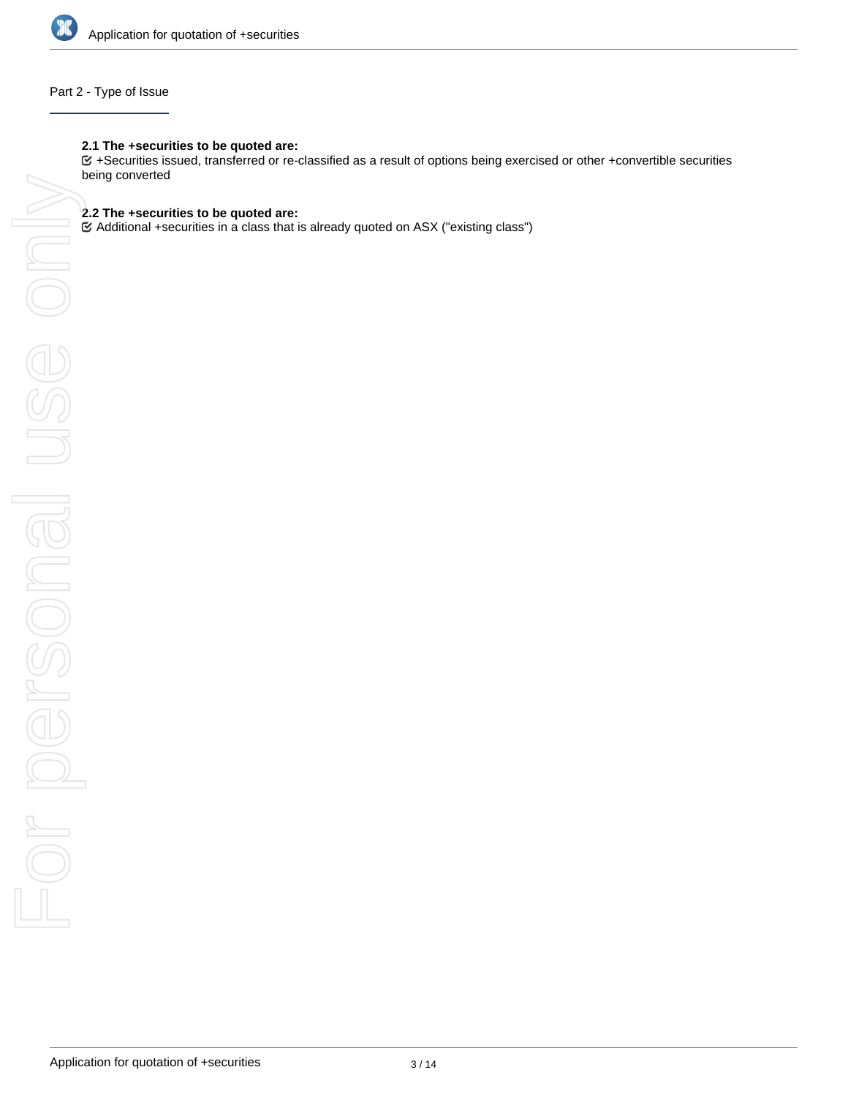

## Part 2 - Type of Issue

## **2.1 The +securities to be quoted are:**

+Securities issued, transferred or re-classified as a result of options being exercised or other +convertible securities

## **2.2 The +securities to be quoted are:**

Additional +securities in a class that is already quoted on ASX ("existing class")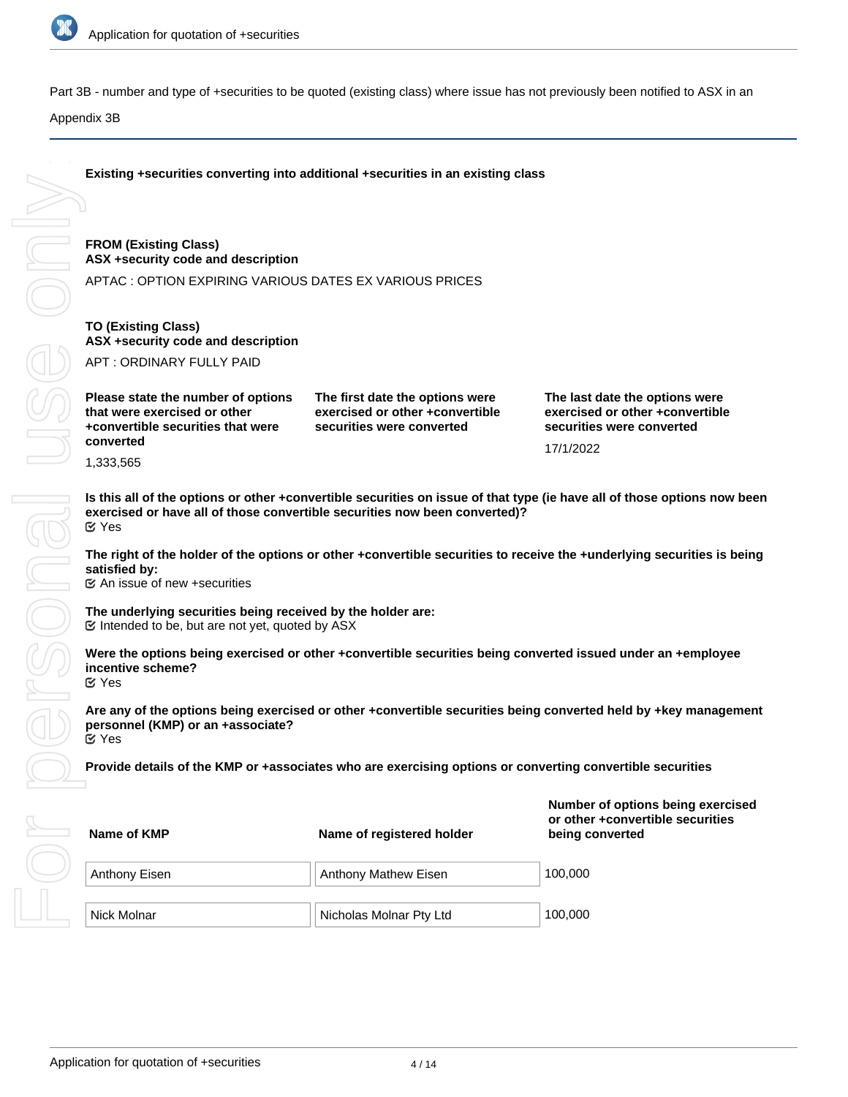

Part 3B - number and type of +securities to be quoted (existing class) where issue has not previously been notified to ASX in an

## Appendix 3B

**Existing +securities converting into additional +securities in an existing class**

## **FROM (Existing Class) ASX +security code and description**

APTAC : OPTION EXPIRING VARIOUS DATES EX VARIOUS PRICES

## **TO (Existing Class) ASX +security code and description**

APT : ORDINARY FULLY PAID

| Please state the number of options |  |  |  |  |
|------------------------------------|--|--|--|--|
| that were exercised or other       |  |  |  |  |
| +convertible securities that were  |  |  |  |  |
| converted                          |  |  |  |  |

**The first date the options were exercised or other +convertible securities were converted**

**The last date the options were exercised or other +convertible securities were converted**

**Number of options being exercised**

17/1/2022

1,333,565

**Is this all of the options or other +convertible securities on issue of that type (ie have all of those options now been exercised or have all of those convertible securities now been converted)?** Yes

**The right of the holder of the options or other +convertible securities to receive the +underlying securities is being satisfied by:**

 $\mathfrak{C}$  An issue of new +securities

**The underlying securities being received by the holder are:**  $\mathfrak S$  Intended to be, but are not yet, quoted by ASX

**Were the options being exercised or other +convertible securities being converted issued under an +employee incentive scheme? EX Yes** 

**Are any of the options being exercised or other +convertible securities being converted held by +key management personnel (KMP) or an +associate?** Yes

**Provide details of the KMP or +associates who are exercising options or converting convertible securities**

**Name of KMP Name of registered holder or other +convertible securities being converted** Anthony Eisen **Anthony Mathew Eisen** 100,000 Nick Molnar **Nicholas Molnar Pty Ltd** 100,000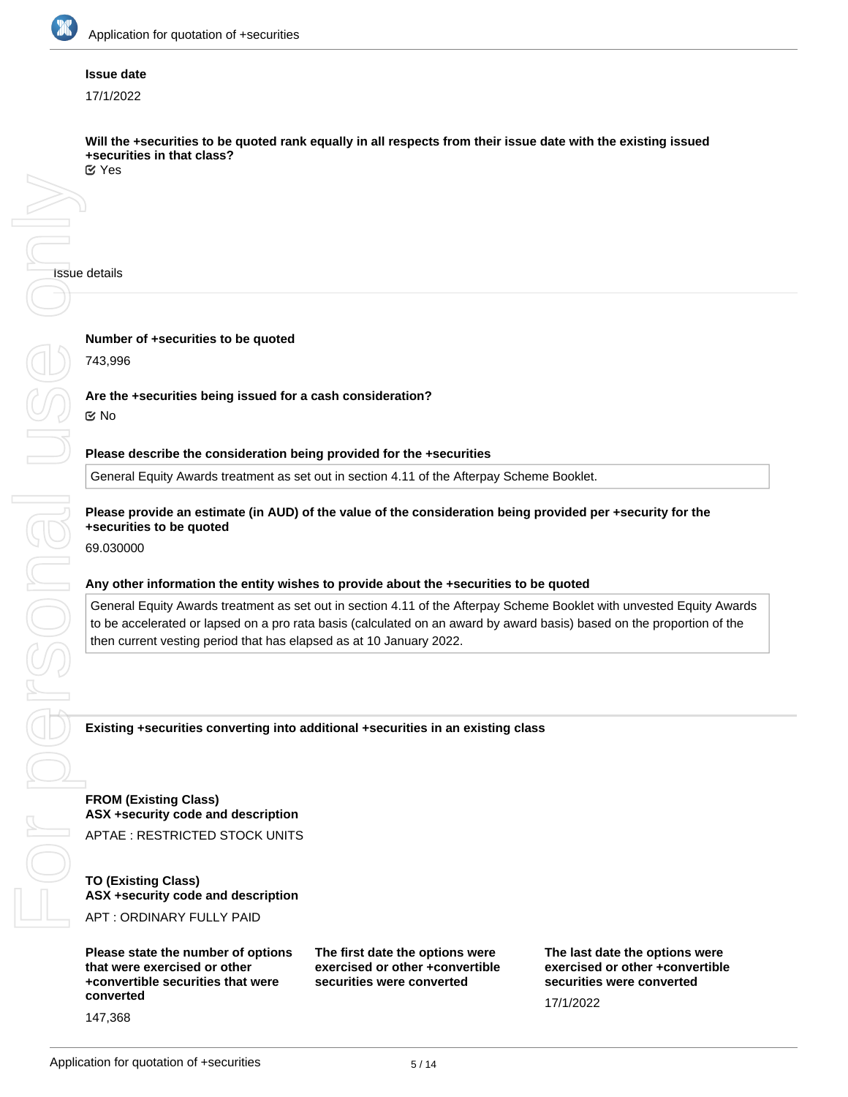

#### **Issue date**

17/1/2022

**Will the +securities to be quoted rank equally in all respects from their issue date with the existing issued +securities in that class?**

Yes

**Number of +securities to be quoted**

743,996

## **Are the +securities being issued for a cash consideration?**

No

## **Please describe the consideration being provided for the +securities**

General Equity Awards treatment as set out in section 4.11 of the Afterpay Scheme Booklet.

## **Please provide an estimate (in AUD) of the value of the consideration being provided per +security for the +securities to be quoted**

69.030000

## **Any other information the entity wishes to provide about the +securities to be quoted**

General Equity Awards treatment as set out in section 4.11 of the Afterpay Scheme Booklet with unvested Equity Awards to be accelerated or lapsed on a pro rata basis (calculated on an award by award basis) based on the proportion of the then current vesting period that has elapsed as at 10 January 2022.

**Existing +securities converting into additional +securities in an existing class**

**FROM (Existing Class) ASX +security code and description** APTAE : RESTRICTED STOCK UNITS

**TO (Existing Class) ASX +security code and description** APT : ORDINARY FULLY PAID

**Please state the number of options that were exercised or other +convertible securities that were converted** 147,368

**The first date the options were exercised or other +convertible securities were converted**

**The last date the options were exercised or other +convertible securities were converted**

17/1/2022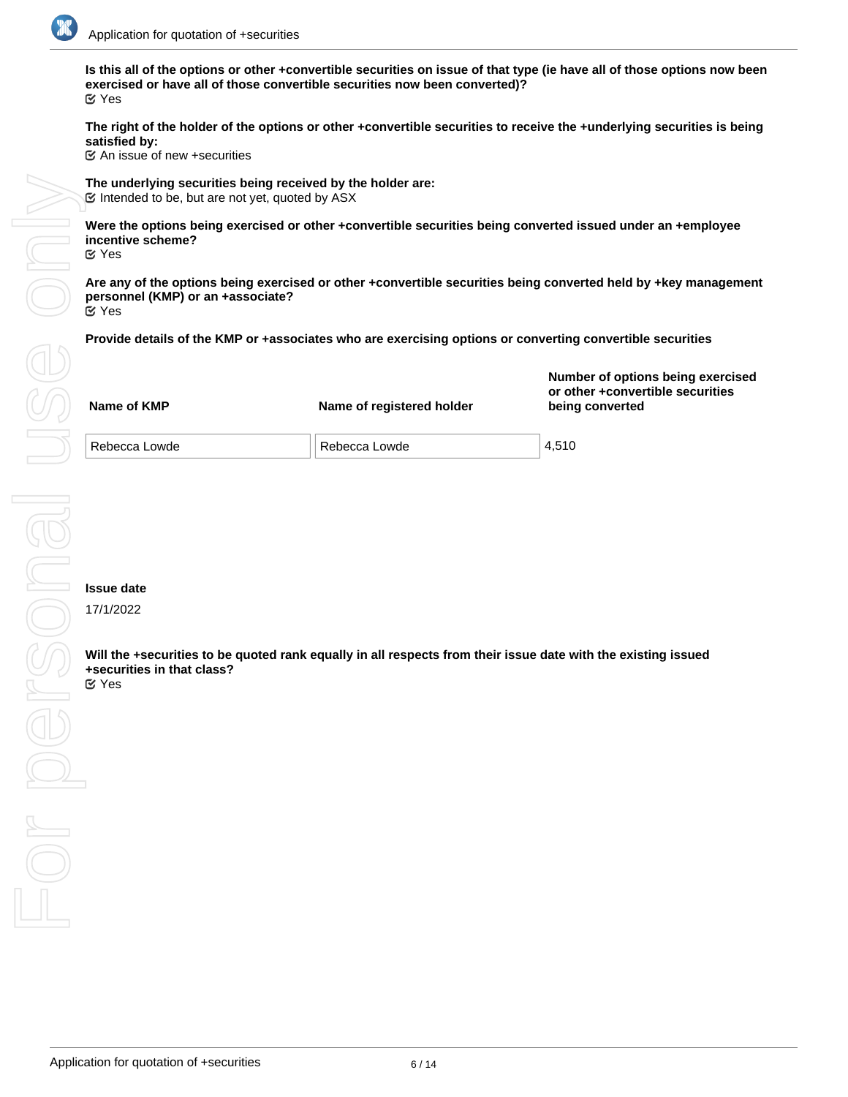

**Is this all of the options or other +convertible securities on issue of that type (ie have all of those options now been exercised or have all of those convertible securities now been converted)?** Yes

**The right of the holder of the options or other +convertible securities to receive the +underlying securities is being satisfied by:**

An issue of new +securities

**The underlying securities being received by the holder are:**  $\heartsuit$  Intended to be, but are not yet, quoted by ASX

**Were the options being exercised or other +convertible securities being converted issued under an +employee incentive scheme?** Yes

**Are any of the options being exercised or other +convertible securities being converted held by +key management personnel (KMP) or an +associate?** Yes

**Provide details of the KMP or +associates who are exercising options or converting convertible securities**

| Name of KMP   | Name of registered holder | Number of options being exercised<br>or other +convertible securities<br>being converted |
|---------------|---------------------------|------------------------------------------------------------------------------------------|
| Rebecca Lowde | Rebecca Lowde             | 4,510                                                                                    |

## **Issue date**

17/1/2022

**Will the +securities to be quoted rank equally in all respects from their issue date with the existing issued +securities in that class?** Yes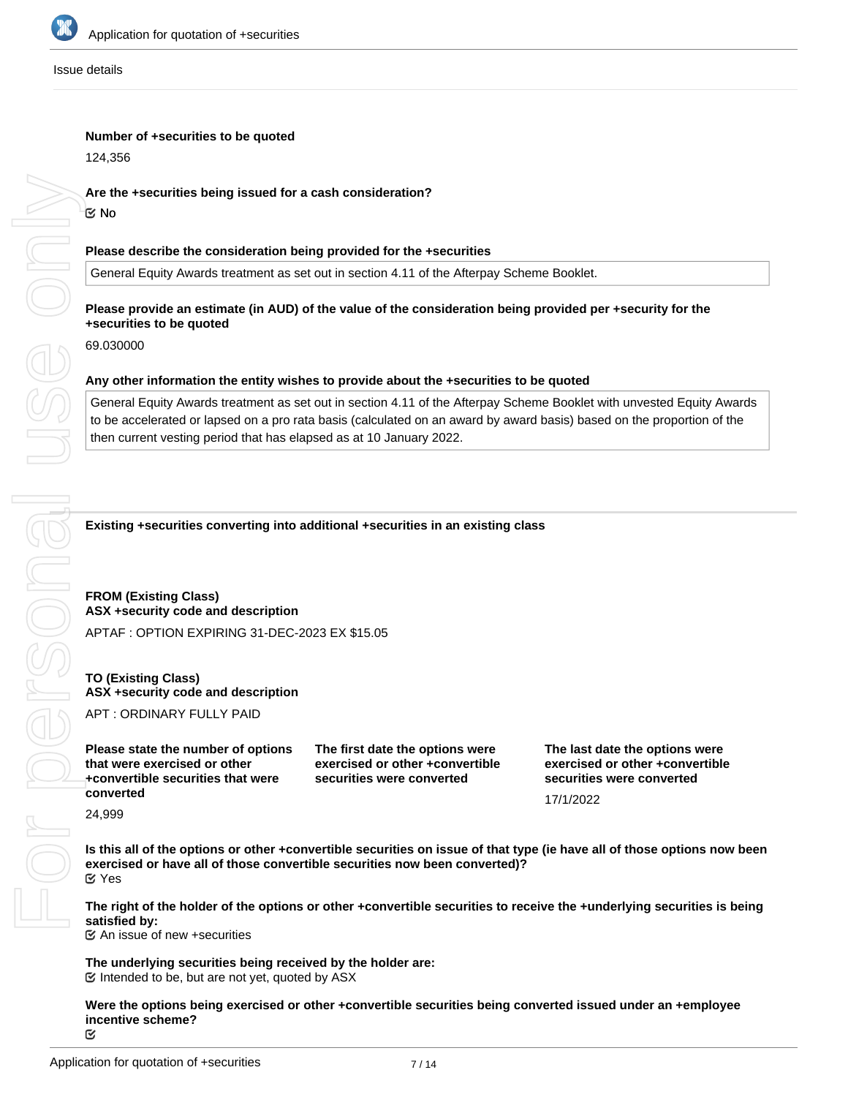

#### Issue details

### **Number of +securities to be quoted**

124,356

## **Are the +securities being issued for a cash consideration?**

No

### **Please describe the consideration being provided for the +securities**

General Equity Awards treatment as set out in section 4.11 of the Afterpay Scheme Booklet.

## **Please provide an estimate (in AUD) of the value of the consideration being provided per +security for the +securities to be quoted**

69.030000

Se onl

ersona

#### **Any other information the entity wishes to provide about the +securities to be quoted**

General Equity Awards treatment as set out in section 4.11 of the Afterpay Scheme Booklet with unvested Equity Awards to be accelerated or lapsed on a pro rata basis (calculated on an award by award basis) based on the proportion of the then current vesting period that has elapsed as at 10 January 2022.

#### **Existing +securities converting into additional +securities in an existing class**

# **FROM (Existing Class) ASX +security code and description** APTAF : OPTION EXPIRING 31-DEC-2023 EX \$15.05

## **TO (Existing Class) ASX +security code and description**

APT : ORDINARY FULLY PAID

**Please state the number of options that were exercised or other +convertible securities that were converted** For personal use only

**The first date the options were exercised or other +convertible securities were converted**

**The last date the options were exercised or other +convertible securities were converted**

17/1/2022

24,999

**Is this all of the options or other +convertible securities on issue of that type (ie have all of those options now been exercised or have all of those convertible securities now been converted)?** Yes

**The right of the holder of the options or other +convertible securities to receive the +underlying securities is being satisfied by:**

An issue of new +securities

**The underlying securities being received by the holder are:**  $\mathfrak S$  Intended to be, but are not yet, quoted by ASX

**Were the options being exercised or other +convertible securities being converted issued under an +employee incentive scheme?**

 $\mathbf{\tilde{c}}$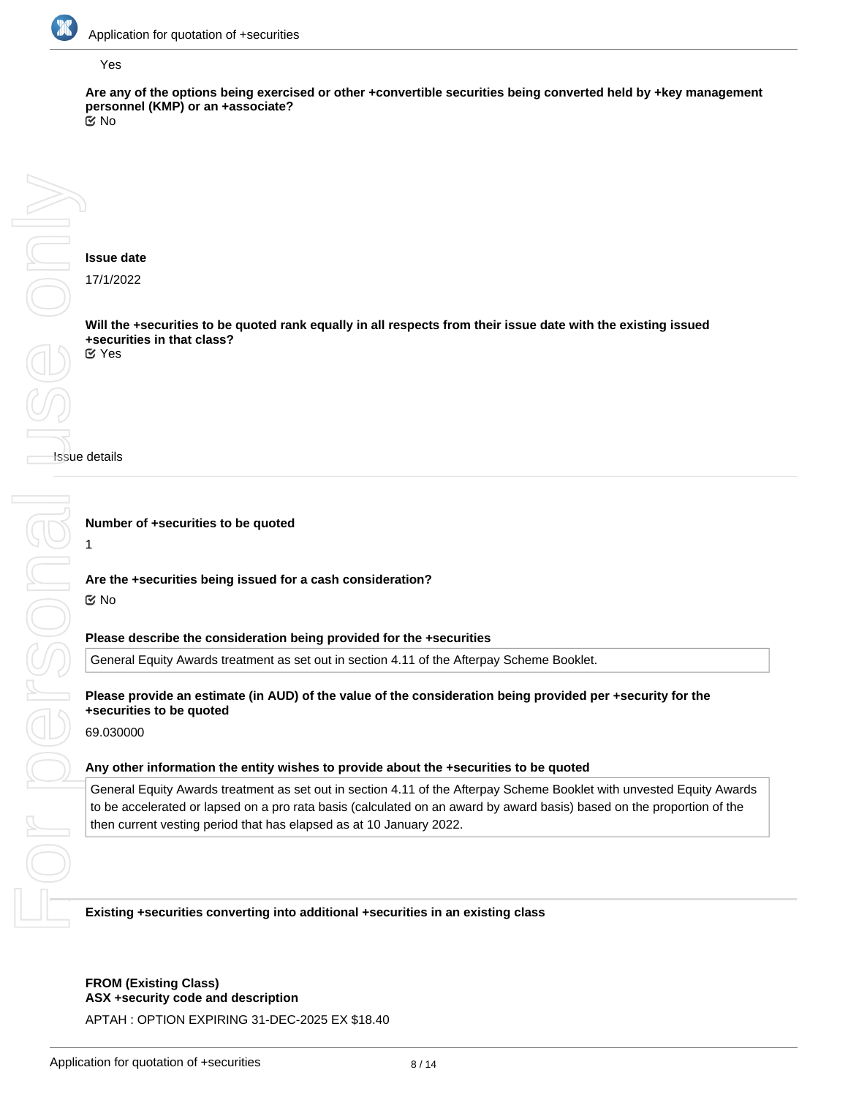

#### Yes

**Are any of the options being exercised or other +convertible securities being converted held by +key management personnel (KMP) or an +associate?**

No

## **Issue date**

17/1/2022

**Will the +securities to be quoted rank equally in all respects from their issue date with the existing issued +securities in that class?** Yes

Issue details

**Number of +securities to be quoted**

1

# **Are the +securities being issued for a cash consideration?**

No

## **Please describe the consideration being provided for the +securities**

General Equity Awards treatment as set out in section 4.11 of the Afterpay Scheme Booklet.

## **Please provide an estimate (in AUD) of the value of the consideration being provided per +security for the +securities to be quoted**

69.030000

## **Any other information the entity wishes to provide about the +securities to be quoted**

General Equity Awards treatment as set out in section 4.11 of the Afterpay Scheme Booklet with unvested Equity Awards to be accelerated or lapsed on a pro rata basis (calculated on an award by award basis) based on the proportion of the then current vesting period that has elapsed as at 10 January 2022.

**Existing +securities converting into additional +securities in an existing class**

# **FROM (Existing Class) ASX +security code and description** APTAH : OPTION EXPIRING 31-DEC-2025 EX \$18.40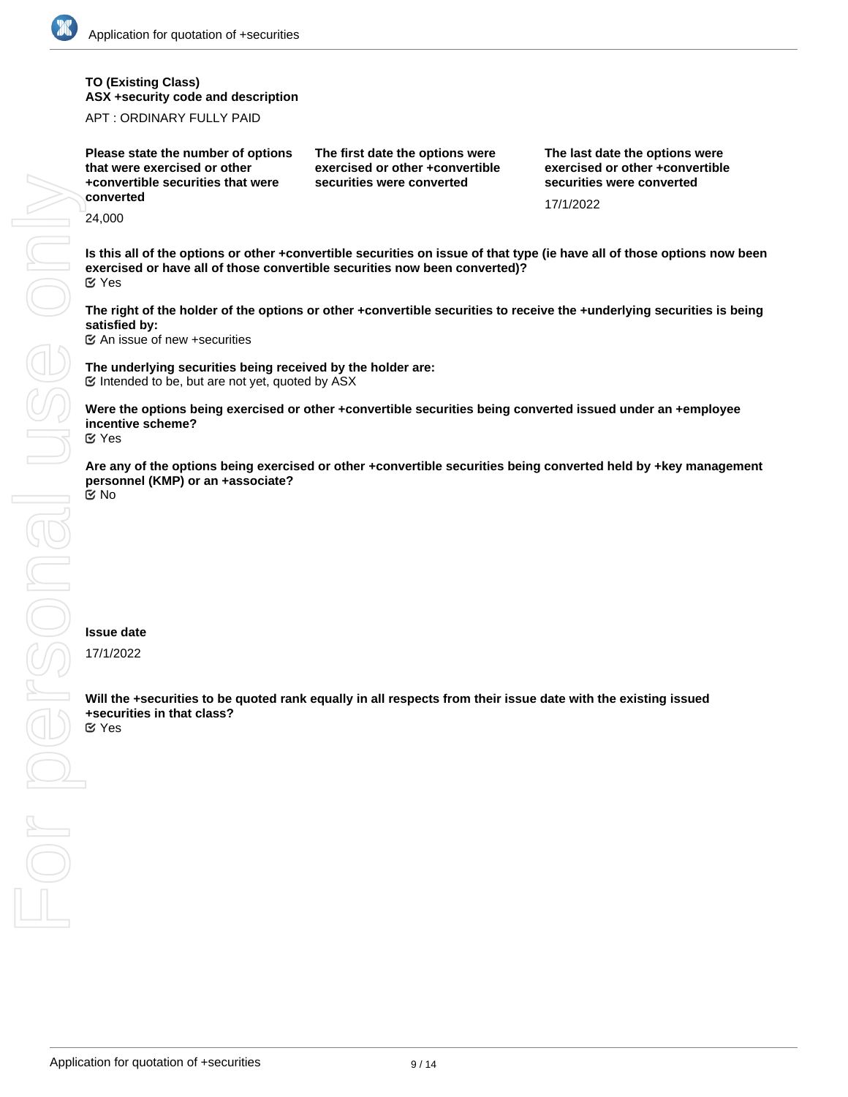APT : ORDINARY FULLY PAID

24,000

**Please state the number of options that were exercised or other +convertible securities that were converted**

**The first date the options were exercised or other +convertible securities were converted**

**The last date the options were exercised or other +convertible securities were converted**

17/1/2022

**Is this all of the options or other +convertible securities on issue of that type (ie have all of those options now been exercised or have all of those convertible securities now been converted)?** Yes

**The right of the holder of the options or other +convertible securities to receive the +underlying securities is being satisfied by:**

 $\mathfrak{C}$  An issue of new +securities

**The underlying securities being received by the holder are:**  $\mathfrak C$  Intended to be, but are not yet, quoted by ASX

**Were the options being exercised or other +convertible securities being converted issued under an +employee incentive scheme?** Yes

**Are any of the options being exercised or other +convertible securities being converted held by +key management personnel (KMP) or an +associate?** No

### **Issue date**

17/1/2022

**Will the +securities to be quoted rank equally in all respects from their issue date with the existing issued +securities in that class?** Yes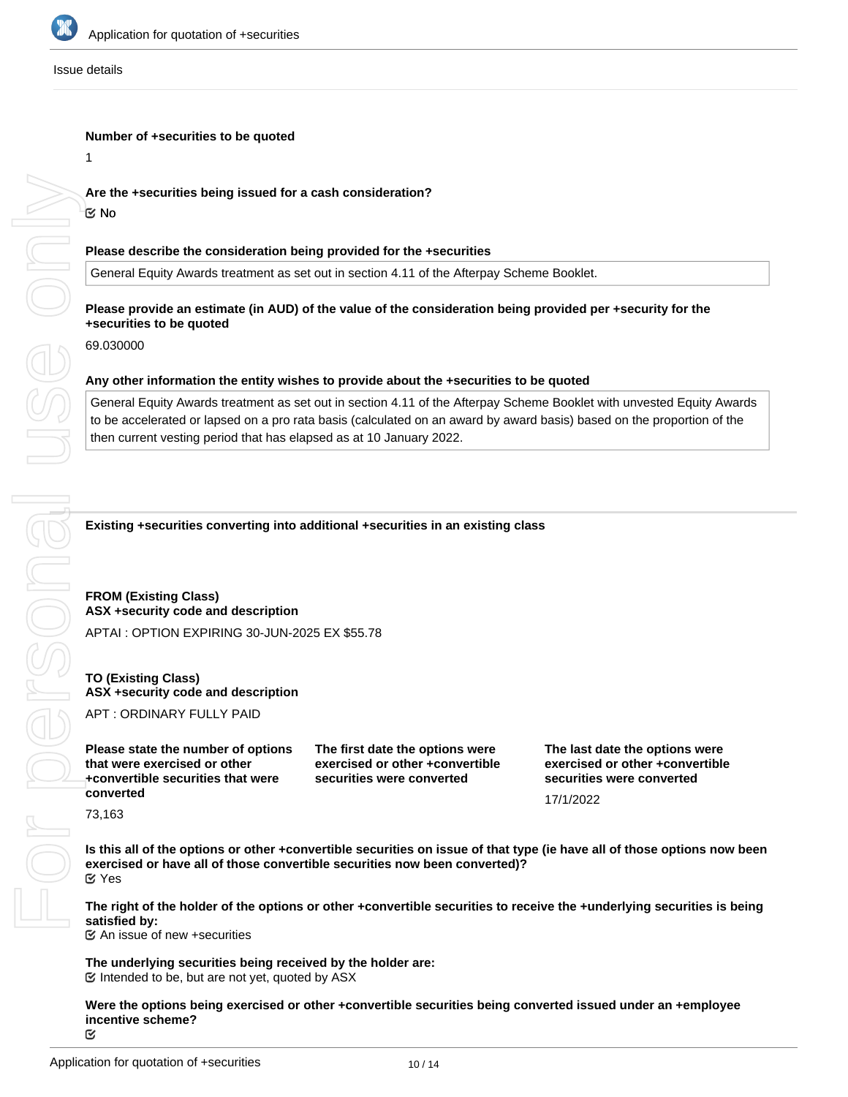

#### Issue details

#### **Number of +securities to be quoted**

1

## **Are the +securities being issued for a cash consideration?**

No

Se onl

ersona

#### **Please describe the consideration being provided for the +securities**

General Equity Awards treatment as set out in section 4.11 of the Afterpay Scheme Booklet.

## **Please provide an estimate (in AUD) of the value of the consideration being provided per +security for the +securities to be quoted**

69.030000

#### **Any other information the entity wishes to provide about the +securities to be quoted**

General Equity Awards treatment as set out in section 4.11 of the Afterpay Scheme Booklet with unvested Equity Awards to be accelerated or lapsed on a pro rata basis (calculated on an award by award basis) based on the proportion of the then current vesting period that has elapsed as at 10 January 2022.

#### **Existing +securities converting into additional +securities in an existing class**

**FROM (Existing Class) ASX +security code and description** APTAI : OPTION EXPIRING 30-JUN-2025 EX \$55.78

## **TO (Existing Class) ASX +security code and description**

APT : ORDINARY FULLY PAID

**Please state the number of options that were exercised or other +convertible securities that were converted** For personal use only

**The first date the options were exercised or other +convertible securities were converted**

**The last date the options were exercised or other +convertible securities were converted**

17/1/2022

73,163

**Is this all of the options or other +convertible securities on issue of that type (ie have all of those options now been exercised or have all of those convertible securities now been converted)?** Yes

**The right of the holder of the options or other +convertible securities to receive the +underlying securities is being satisfied by:**

An issue of new +securities

**The underlying securities being received by the holder are:**  $\mathfrak S$  Intended to be, but are not yet, quoted by ASX

**Were the options being exercised or other +convertible securities being converted issued under an +employee incentive scheme?**

 $\mathbf{\tilde{c}}$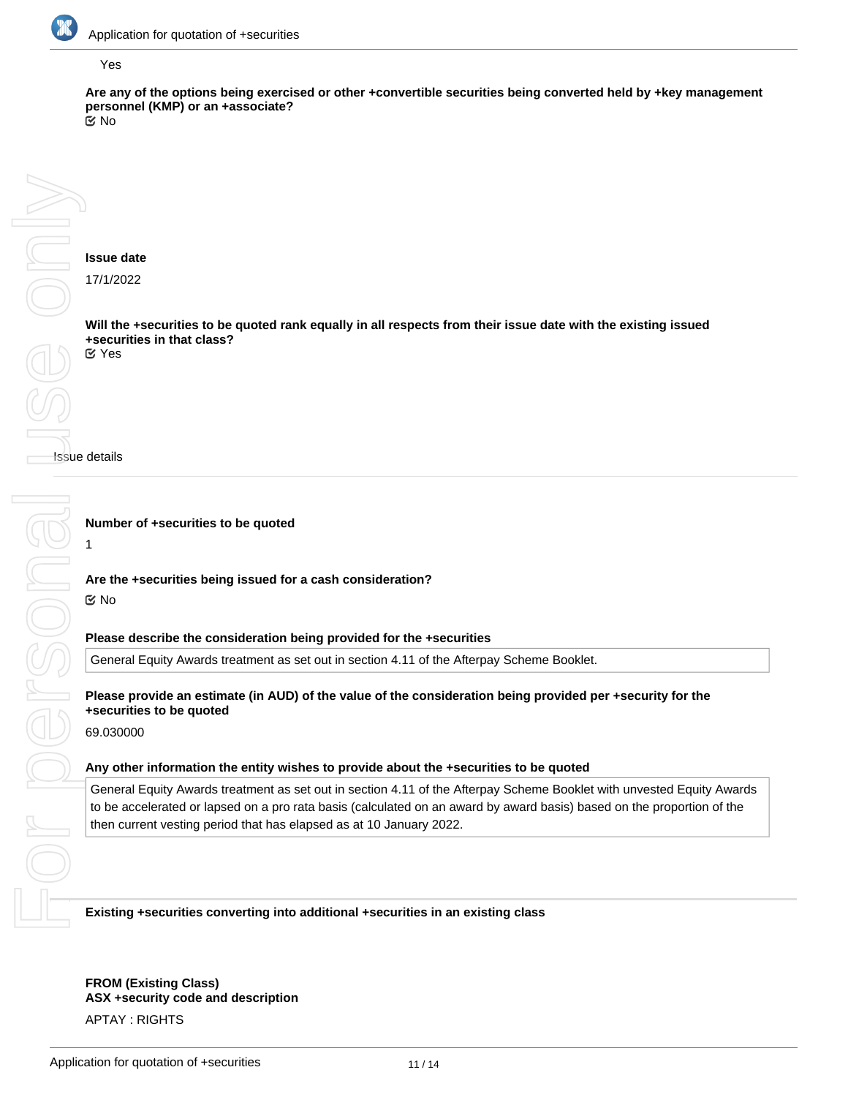

#### Yes

**Are any of the options being exercised or other +convertible securities being converted held by +key management personnel (KMP) or an +associate?** No

## **Issue date**

17/1/2022

**Will the +securities to be quoted rank equally in all respects from their issue date with the existing issued +securities in that class?** Yes

Issue details

**Number of +securities to be quoted**

1

# **Are the +securities being issued for a cash consideration?**

No

## **Please describe the consideration being provided for the +securities**

General Equity Awards treatment as set out in section 4.11 of the Afterpay Scheme Booklet.

## **Please provide an estimate (in AUD) of the value of the consideration being provided per +security for the +securities to be quoted**

69.030000

## **Any other information the entity wishes to provide about the +securities to be quoted**

General Equity Awards treatment as set out in section 4.11 of the Afterpay Scheme Booklet with unvested Equity Awards to be accelerated or lapsed on a pro rata basis (calculated on an award by award basis) based on the proportion of the then current vesting period that has elapsed as at 10 January 2022.

**Existing +securities converting into additional +securities in an existing class**

**FROM (Existing Class) ASX +security code and description** APTAY : RIGHTS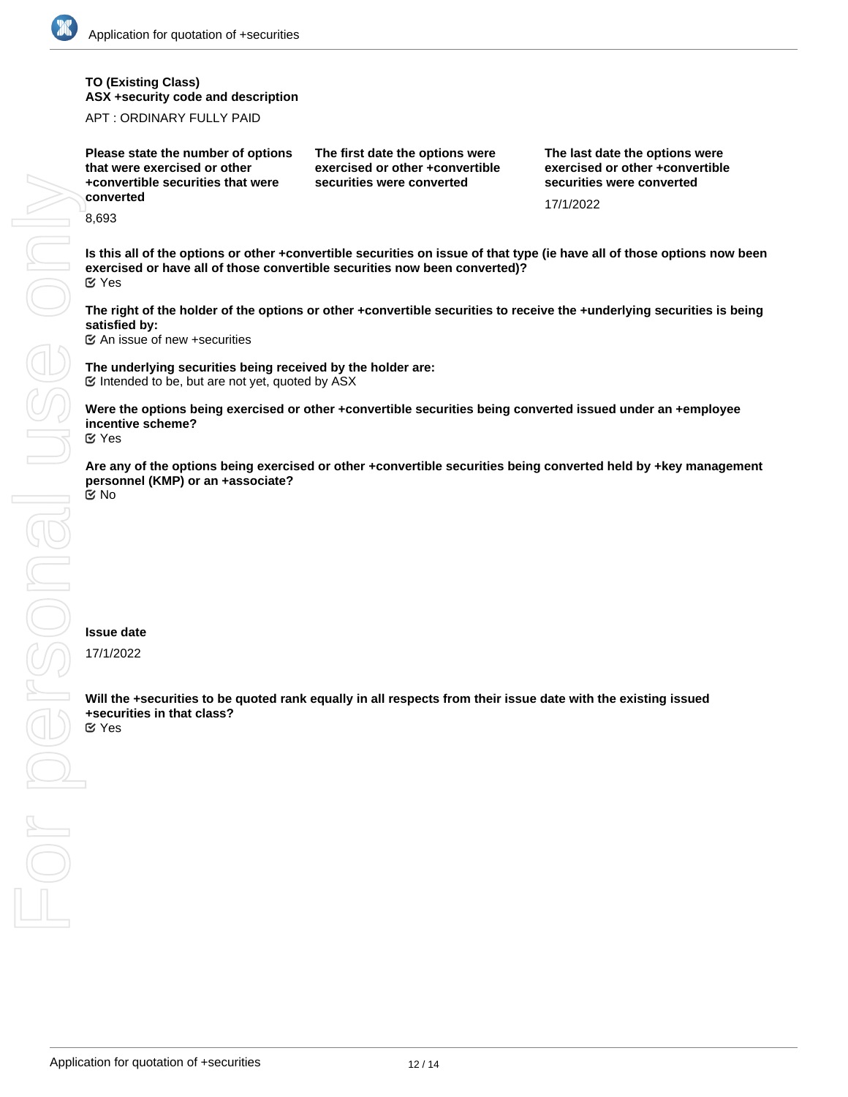APT : ORDINARY FULLY PAID

8,693

**Please state the number of options that were exercised or other +convertible securities that were converted**

**The first date the options were exercised or other +convertible securities were converted**

**The last date the options were exercised or other +convertible securities were converted**

17/1/2022

**Is this all of the options or other +convertible securities on issue of that type (ie have all of those options now been exercised or have all of those convertible securities now been converted)?** Yes

**The right of the holder of the options or other +convertible securities to receive the +underlying securities is being satisfied by:**

 $\mathfrak{C}$  An issue of new +securities

**The underlying securities being received by the holder are:**  $\mathfrak C$  Intended to be, but are not yet, quoted by ASX

**Were the options being exercised or other +convertible securities being converted issued under an +employee incentive scheme?** Yes

**Are any of the options being exercised or other +convertible securities being converted held by +key management personnel (KMP) or an +associate?** No

### **Issue date**

17/1/2022

**Will the +securities to be quoted rank equally in all respects from their issue date with the existing issued +securities in that class?** Yes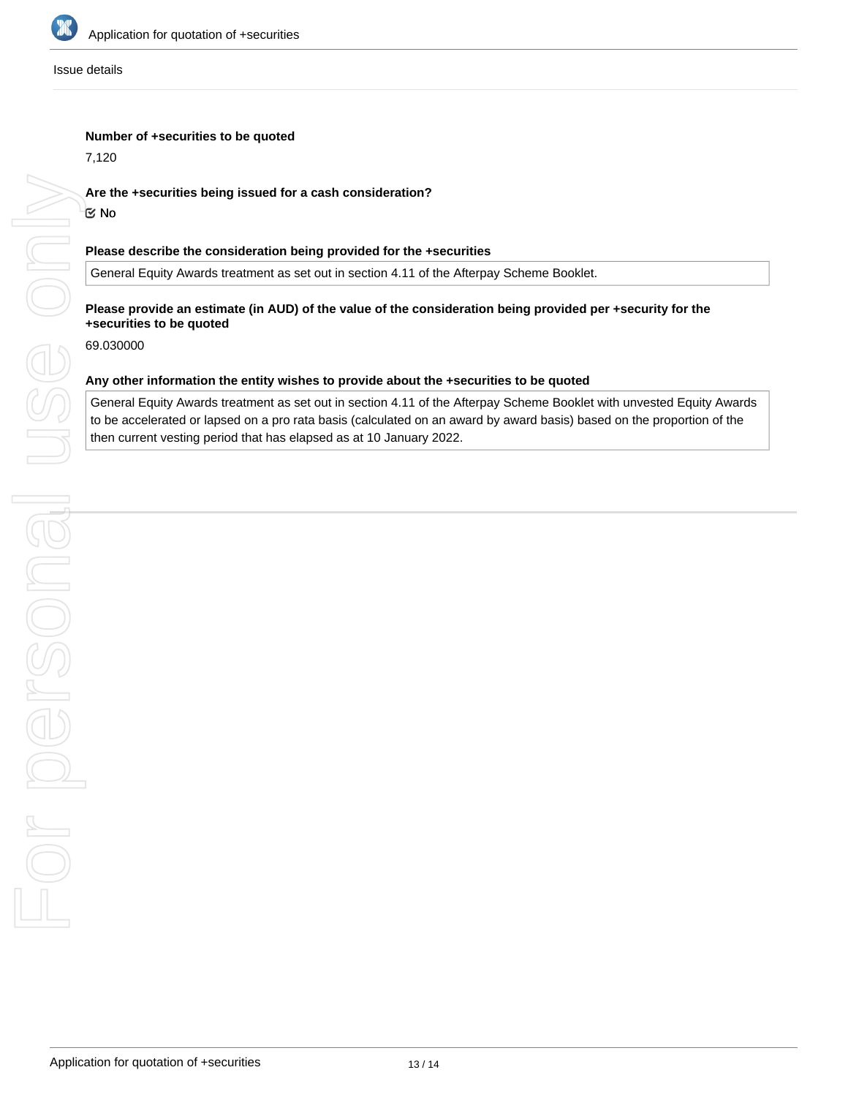

#### Issue details

## **Number of +securities to be quoted**

7,120

## **Are the +securities being issued for a cash consideration?**

No

#### **Please describe the consideration being provided for the +securities**

General Equity Awards treatment as set out in section 4.11 of the Afterpay Scheme Booklet.

## **Please provide an estimate (in AUD) of the value of the consideration being provided per +security for the +securities to be quoted**

69.030000

#### **Any other information the entity wishes to provide about the +securities to be quoted**

General Equity Awards treatment as set out in section 4.11 of the Afterpay Scheme Booklet with unvested Equity Awards to be accelerated or lapsed on a pro rata basis (calculated on an award by award basis) based on the proportion of the then current vesting period that has elapsed as at 10 January 2022.